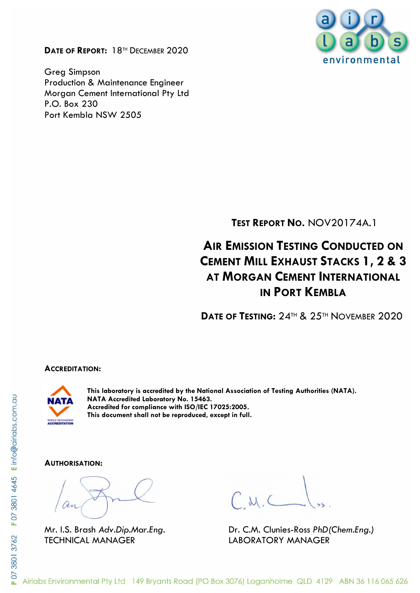**DATE OF REPORT:** 18TH DECEMBER 2020

Greg Simpson Production & Maintenance Engineer Morgan Cement International Pty Ltd P.O. Box 230 Port Kembla NSW 2505



**TEST REPORT NO.** NOV20174A.1

# **A**IR **EMISSION TESTING CONDUCTED ON CEMENT MILL EXHAUST STACKS 1, 2 & 3 AT MORGAN CEMENT INTERNATIONAL IN PORT KEMBLA**

**DATE OF TESTING:** 24TH & 25TH NOVEMBER 2020

#### **ACCREDITATION:**



**This laboratory is accredited by the National Association of Testing Authorities (NATA). NATA Accredited Laboratory No. 15463. Accredited for compliance with ISO/IEC 17025:2005. This document shall not be reproduced, except in full.**

#### **AUTHORISATION:**

TECHNICAL MANAGER LABORATORY MANAGER

Mr. I.S. Brash *Adv.Dip.Mar.Eng.* Dr. C.M. Clunies-Ross *PhD(Chem.Eng.)*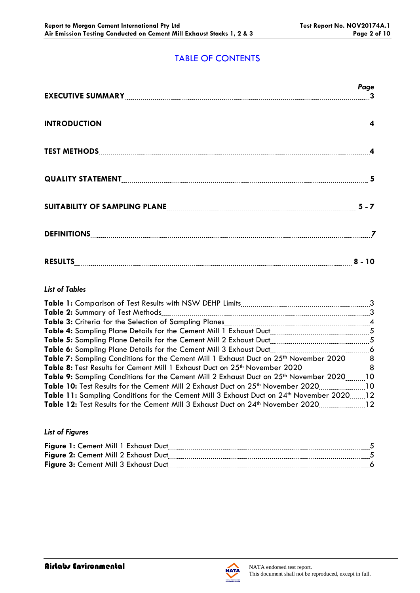# TABLE OF CONTENTS

|                                                                     | Page |
|---------------------------------------------------------------------|------|
| INTRODUCTION 4                                                      |      |
|                                                                     |      |
|                                                                     |      |
| SUITABILITY OF SAMPLING PLANE <b>[19] THE READER ASSESSED</b> 5 - 7 |      |
|                                                                     |      |
| RESULTS 8 - 10                                                      |      |

### *List of Tables*

| Table 2: Summary of Test Methods                                                                          | $\overline{\mathbf{3}}$ |
|-----------------------------------------------------------------------------------------------------------|-------------------------|
|                                                                                                           |                         |
|                                                                                                           |                         |
|                                                                                                           |                         |
| <b>Table 6:</b> Sampling Plane Details for the Cement Mill 3 Exhaust Duct                                 |                         |
| Table 7: Sampling Conditions for the Cement Mill 1 Exhaust Duct on 25 <sup>th</sup> November 20208        |                         |
| Table 8: Test Results for Cement Mill 1 Exhaust Duct on 25 <sup>th</sup> November 2020                    | . 8                     |
| <b>Table 9:</b> Sampling Conditions for the Cement Mill 2 Exhaust Duct on 25 <sup>th</sup> November 2020. | - 10                    |
| <b>Table 10:</b> Test Results for the Cement Mill 2 Exhaust Duct on 25 <sup>th</sup> November 2020        | $\overline{10}$         |
| Table 11: Sampling Conditions for the Cement Mill 3 Exhaust Duct on 24th November 202012                  |                         |
| 12 Table 12: Test Results for the Cement Mill 3 Exhaust Duct on 24 <sup>th</sup> November 2020            |                         |

#### *List of Figures*

| Figure 1: Cement Mill 1 Exhaust Duct |  |
|--------------------------------------|--|
| Figure 2: Cement Mill 2 Exhaust Duct |  |
| Figure 3: Cement Mill 3 Exhaust Duct |  |
|                                      |  |

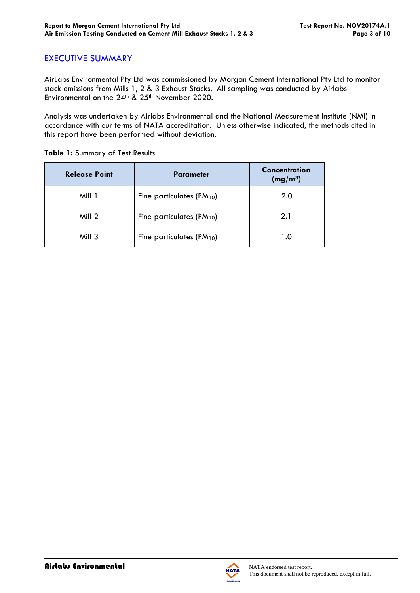## EXECUTIVE SUMMARY

AirLabs Environmental Pty Ltd was commissioned by Morgan Cement International Pty Ltd to monitor stack emissions from Mills 1, 2 & 3 Exhaust Stacks. All sampling was conducted by Airlabs Environmental on the 24<sup>th</sup> & 25<sup>th</sup> November 2020.

Analysis was undertaken by Airlabs Environmental and the National Measurement Institute (NMI) in accordance with our terms of NATA accreditation. Unless otherwise indicated, the methods cited in this report have been performed without deviation.

| <b>Release Point</b> | <b>Parameter</b>                | Concentration<br>(mg/m <sup>3</sup> ) |
|----------------------|---------------------------------|---------------------------------------|
| Mill 1               | Fine particulates $(PM_{10})$   | 2.0                                   |
| Mill 2               | Fine particulates ( $PM_{10}$ ) | 2.1                                   |
| Mill 3               | Fine particulates ( $PM_{10}$ ) | 1.0                                   |

**Table 1:** Summary of Test Results

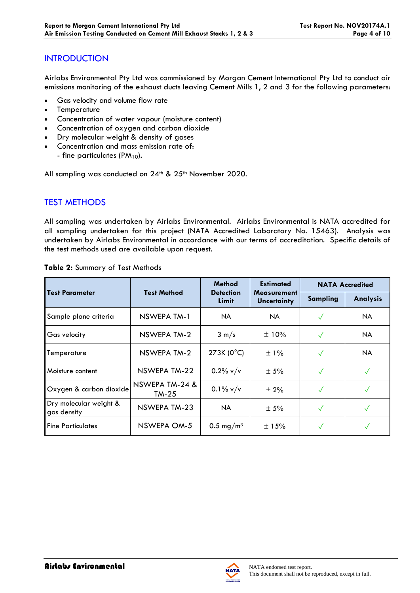# **INTRODUCTION**

Airlabs Environmental Pty Ltd was commissioned by Morgan Cement International Pty Ltd to conduct air emissions monitoring of the exhaust ducts leaving Cement Mills 1, 2 and 3 for the following parameters:

- Gas velocity and volume flow rate
- **Temperature**
- Concentration of water vapour (moisture content)
- Concentration of oxygen and carbon dioxide
- Dry molecular weight & density of gases
- Concentration and mass emission rate of: - fine particulates (PM<sub>10</sub>).

All sampling was conducted on  $24<sup>th</sup>$  &  $25<sup>th</sup>$  November 2020.

# TEST METHODS

All sampling was undertaken by Airlabs Environmental. Airlabs Environmental is NATA accredited for all sampling undertaken for this project (NATA Accredited Laboratory No. 15463). Analysis was undertaken by Airlabs Environmental in accordance with our terms of accreditation. Specific details of the test methods used are available upon request.

|                                       | <b>Test Method</b>        | <b>Method</b>             | <b>Estimated</b>                         | <b>NATA Accredited</b> |                 |
|---------------------------------------|---------------------------|---------------------------|------------------------------------------|------------------------|-----------------|
| <b>Test Parameter</b>                 |                           | <b>Detection</b><br>Limit | <b>Measurement</b><br><b>Uncertainty</b> | <b>Sampling</b>        | <b>Analysis</b> |
| Sample plane criteria                 | NSWEPA TM-1               | NA.                       | NA.                                      | √                      | NA.             |
| Gas velocity                          | <b>NSWEPA TM-2</b>        | $3 \text{ m/s}$           | ±10%                                     | $\checkmark$           | <b>NA</b>       |
| Temperature                           | NSWEPA TM-2               | 273K (0°C)                | $\pm$ 1%                                 | $\checkmark$           | <b>NA</b>       |
| Moisture content                      | NSWEPA TM-22              | $0.2\%$ v/v               | $\pm$ 5%                                 | $\sqrt{}$              | $\checkmark$    |
| Oxygen & carbon dioxide               | NSWEPA TM-24 &<br>$TM-25$ | $0.1\%$ v/v               | ± 2%                                     | $\checkmark$           |                 |
| Dry molecular weight &<br>gas density | NSWEPA TM-23              | NA.                       | ± 5%                                     | $\checkmark$           | $\sqrt{}$       |
| <b>Fine Particulates</b>              | NSWEPA OM-5               | $0.5 \,\mathrm{mg/m^3}$   | $\pm$ 15%                                |                        |                 |

#### **Table 2:** Summary of Test Methods

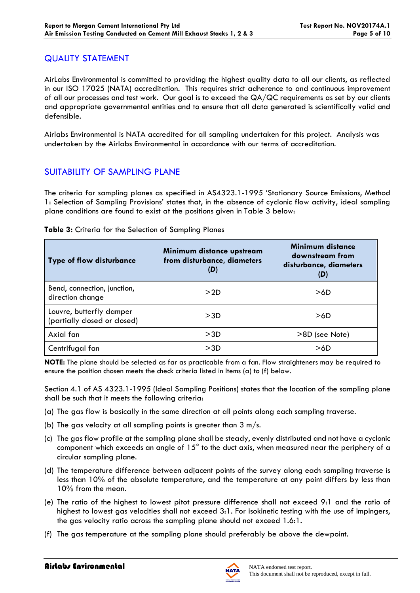## QUALITY STATEMENT

AirLabs Environmental is committed to providing the highest quality data to all our clients, as reflected in our ISO 17025 (NATA) accreditation. This requires strict adherence to and continuous improvement of all our processes and test work. Our goal is to exceed the QA/QC requirements as set by our clients and appropriate governmental entities and to ensure that all data generated is scientifically valid and defensible.

Airlabs Environmental is NATA accredited for all sampling undertaken for this project. Analysis was undertaken by the Airlabs Environmental in accordance with our terms of accreditation.

# SUITABILITY OF SAMPLING PLANE

The criteria for sampling planes as specified in AS4323.1-1995 'Stationary Source Emissions, Method 1: Selection of Sampling Provisions' states that, in the absence of cyclonic flow activity, ideal sampling plane conditions are found to exist at the positions given in Table 3 below:

| <b>Type of flow disturbance</b>                          | Minimum distance upstream<br>from disturbance, diameters<br>(D) | Minimum distance<br>downstream from<br>disturbance, diameters<br>(D) |
|----------------------------------------------------------|-----------------------------------------------------------------|----------------------------------------------------------------------|
| Bend, connection, junction,<br>direction change          | >2D                                                             | >6D                                                                  |
| Louvre, butterfly damper<br>(partially closed or closed) | >3D                                                             | >6D                                                                  |
| Axial fan                                                | >3D                                                             | >8D (see Note)                                                       |
| Centrifugal fan                                          | >3D                                                             | >6D                                                                  |

#### **Table 3:** Criteria for the Selection of Sampling Planes

**NOTE:** The plane should be selected as far as practicable from a fan. Flow straighteners may be required to ensure the position chosen meets the check criteria listed in Items (a) to (f) below.

Section 4.1 of AS 4323.1-1995 (Ideal Sampling Positions) states that the location of the sampling plane shall be such that it meets the following criteria:

- (a) The gas flow is basically in the same direction at all points along each sampling traverse.
- (b) The gas velocity at all sampling points is greater than  $3 \text{ m/s}$ .
- (c) The gas flow profile at the sampling plane shall be steady, evenly distributed and not have a cyclonic component which exceeds an angle of 15° to the duct axis, when measured near the periphery of a circular sampling plane.
- (d) The temperature difference between adjacent points of the survey along each sampling traverse is less than 10% of the absolute temperature, and the temperature at any point differs by less than 10% from the mean.
- (e) The ratio of the highest to lowest pitot pressure difference shall not exceed 9:1 and the ratio of highest to lowest gas velocities shall not exceed 3:1. For isokinetic testing with the use of impingers, the gas velocity ratio across the sampling plane should not exceed 1.6:1.
- (f) The gas temperature at the sampling plane should preferably be above the dewpoint.

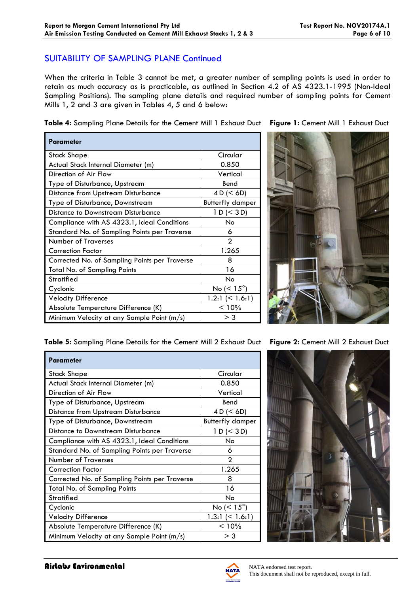## SUITABILITY OF SAMPLING PLANE Continued

When the criteria in Table 3 cannot be met, a greater number of sampling points is used in order to retain as much accuracy as is practicable, as outlined in Section 4.2 of AS 4323.1-1995 (Non-Ideal Sampling Positions). The sampling plane details and required number of sampling points for Cement Mills 1, 2 and 3 are given in Tables 4, 5 and 6 below:

**Table 4:** Sampling Plane Details for the Cement Mill 1 Exhaust Duct **Figure 1:** Cement Mill 1 Exhaust Duct

| <b>Parameter</b>                              |                          |
|-----------------------------------------------|--------------------------|
| Stack Shape                                   | Circular                 |
| Actual Stack Internal Diameter (m)            | 0.850                    |
| Direction of Air Flow                         | Vertical                 |
| Type of Disturbance, Upstream                 | Bend                     |
| <b>Distance from Upstream Disturbance</b>     | 4 D (< 6D)               |
| Type of Disturbance, Downstream               | <b>Butterfly damper</b>  |
| Distance to Downstream Disturbance            | 1 D (< 3 D)              |
| Compliance with AS 4323.1, Ideal Conditions   | No                       |
| Standard No. of Sampling Points per Traverse  | 6                        |
| <b>Number of Traverses</b>                    | $\overline{2}$           |
| <b>Correction Factor</b>                      | 1.265                    |
| Corrected No. of Sampling Points per Traverse | 8                        |
| Total No. of Sampling Points                  | 16                       |
| <b>Stratified</b>                             | No                       |
| Cyclonic                                      | No ( $\leq 15^{\circ}$ ) |
| <b>Velocity Difference</b>                    | 1.2:1 $($ 1.6:1)         |
| Absolute Temperature Difference (K)           | < 10%                    |
| Minimum Velocity at any Sample Point (m/s)    | $>$ 3                    |



**Table 5:** Sampling Plane Details for the Cement Mill 2 Exhaust Duct **Figure 2:** Cement Mill 2 Exhaust Duct

| Parameter                                     |                          |  |  |  |
|-----------------------------------------------|--------------------------|--|--|--|
| <b>Stack Shape</b>                            | Circular                 |  |  |  |
| Actual Stack Internal Diameter (m)            | 0.850                    |  |  |  |
| Direction of Air Flow                         | Vertical                 |  |  |  |
| Type of Disturbance, Upstream                 | Bend                     |  |  |  |
| <b>Distance from Upstream Disturbance</b>     | 4 D (< 6D)               |  |  |  |
| Type of Disturbance, Downstream               | <b>Butterfly damper</b>  |  |  |  |
| Distance to Downstream Disturbance            | 1 D (< 3 D)              |  |  |  |
| Compliance with AS 4323.1, Ideal Conditions   | No.                      |  |  |  |
| Standard No. of Sampling Points per Traverse  | 6                        |  |  |  |
| <b>Number of Traverses</b>                    | 2                        |  |  |  |
| <b>Correction Factor</b>                      | 1.265                    |  |  |  |
| Corrected No. of Sampling Points per Traverse | 8                        |  |  |  |
| <b>Total No. of Sampling Points</b>           | 16                       |  |  |  |
| <b>Stratified</b>                             | No                       |  |  |  |
| Cyclonic                                      | No ( $\leq 15^{\circ}$ ) |  |  |  |
| <b>Velocity Difference</b>                    | 1.3:1 $(< 1.6:1)$        |  |  |  |
| Absolute Temperature Difference (K)           | < 10%                    |  |  |  |
| Minimum Velocity at any Sample Point (m/s)    | $>$ 3                    |  |  |  |



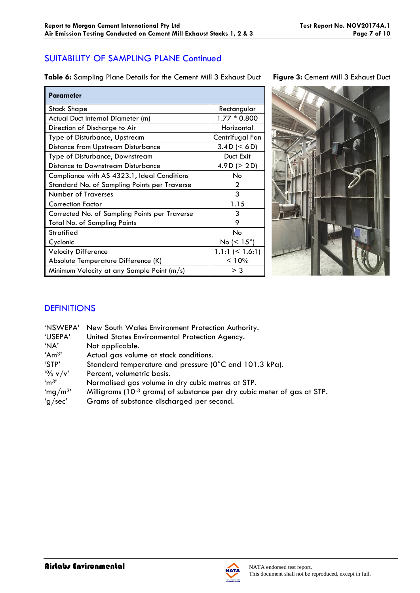# SUITABILITY OF SAMPLING PLANE Continued

**Table 6:** Sampling Plane Details for the Cement Mill 3 Exhaust Duct **Figure 3:** Cement Mill 3 Exhaust Duct

| <b>Parameter</b>                              |                       |
|-----------------------------------------------|-----------------------|
| Stack Shape                                   | Rectangular           |
| Actual Duct Internal Diameter (m)             | $1.77 * 0.800$        |
| Direction of Discharge to Air                 | Horizontal            |
| Type of Disturbance, Upstream                 | Centrifugal Fan       |
| <b>Distance from Upstream Disturbance</b>     | 3.4 D (< 6 D)         |
| Type of Disturbance, Downstream               | Duct Exit             |
| Distance to Downstream Disturbance            | 4.9 D ( $>$ 2 D)      |
| Compliance with AS 4323.1, Ideal Conditions   | No                    |
| Standard No. of Sampling Points per Traverse  | 2                     |
| <b>Number of Traverses</b>                    | 3                     |
| <b>Correction Factor</b>                      | 1.15                  |
| Corrected No. of Sampling Points per Traverse | 3                     |
| <b>Total No. of Sampling Points</b>           | 9                     |
| <b>Stratified</b>                             | <b>No</b>             |
| Cyclonic                                      | No ( $< 15^{\circ}$ ) |
| <b>Velocity Difference</b>                    | $1.1:1 \leq 1.6:1$    |
| Absolute Temperature Difference (K)           | < 10%                 |
| Minimum Velocity at any Sample Point (m/s)    | $>$ 3                 |



# **DEFINITIONS**

| 'NSWEPA'            | New South Wales Environment Protection Authority.                                   |
|---------------------|-------------------------------------------------------------------------------------|
| 'USEPA'             | United States Environmental Protection Agency.                                      |
| 'NA'                | Not applicable.                                                                     |
| 'Am <sup>3</sup> '  | Actual gas volume at stack conditions.                                              |
| 'STP'               | Standard temperature and pressure (0°C and 101.3 kPa).                              |
| $\frac{10}{6}$ v/v' | Percent, volumetric basis.                                                          |
| 'm <sup>3</sup>     | Normalised gas volume in dry cubic metres at STP.                                   |
| 'mg/m <sup>3'</sup> | Milligrams (10 <sup>-3</sup> grams) of substance per dry cubic meter of gas at STP. |
| 'g/sec'             | Grams of substance discharged per second.                                           |
|                     |                                                                                     |

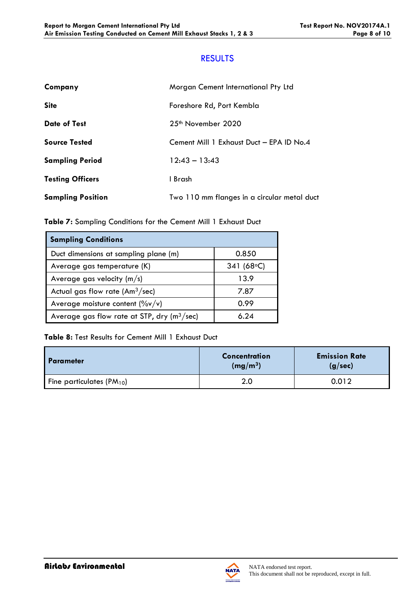## **RESULTS**

| Company                  | Morgan Cement International Pty Ltd         |
|--------------------------|---------------------------------------------|
| <b>Site</b>              | Foreshore Rd, Port Kembla                   |
| <b>Date of Test</b>      | $25th$ November 2020                        |
| <b>Source Tested</b>     | Cement Mill 1 Exhaust Duct - EPA ID No.4    |
| <b>Sampling Period</b>   | $12:43 - 13:43$                             |
| <b>Testing Officers</b>  | I Brash                                     |
| <b>Sampling Position</b> | Two 110 mm flanges in a circular metal duct |

**Table 7:** Sampling Conditions for the Cement Mill 1 Exhaust Duct

| <b>Sampling Conditions</b>                    |                      |
|-----------------------------------------------|----------------------|
| Duct dimensions at sampling plane (m)         | 0.850                |
| Average gas temperature (K)                   | 341 (68 $\degree$ C) |
| Average gas velocity $(m/s)$                  | 13.9                 |
| Actual gas flow rate $(Am3/sec)$              | 7.87                 |
| Average moisture content $(\%v/v)$            | 0.99                 |
| Average gas flow rate at STP, dry $(m^3/sec)$ | 6 24                 |

**Table 8:** Test Results for Cement Mill 1 Exhaust Duct

| I Parameter                   | <b>Concentration</b><br>(mg/m <sup>3</sup> ) | <b>Emission Rate</b><br>(g/sec) |
|-------------------------------|----------------------------------------------|---------------------------------|
| Fine particulates $(PM_{10})$ | 2.0                                          | 0.012                           |

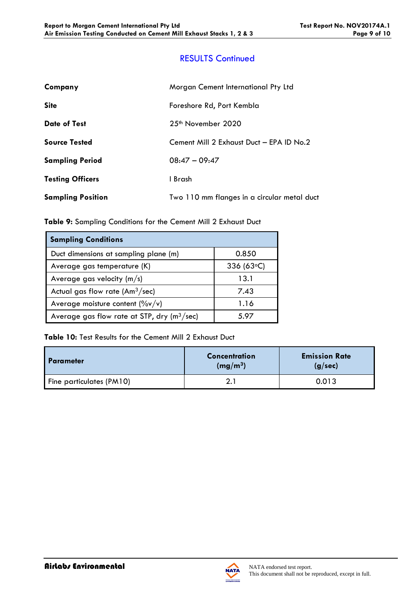# RESULTS Continued

| Company                  | Morgan Cement International Pty Ltd         |  |
|--------------------------|---------------------------------------------|--|
| <b>Site</b>              | Foreshore Rd, Port Kembla                   |  |
| <b>Date of Test</b>      | $25th$ November 2020                        |  |
| <b>Source Tested</b>     | Cement Mill 2 Exhaust Duct - EPA ID No.2    |  |
| <b>Sampling Period</b>   | $08:47 - 09:47$                             |  |
| <b>Testing Officers</b>  | 1 Brash                                     |  |
| <b>Sampling Position</b> | Two 110 mm flanges in a circular metal duct |  |

**Table 9:** Sampling Conditions for the Cement Mill 2 Exhaust Duct

| <b>Sampling Conditions</b>                    |                |  |
|-----------------------------------------------|----------------|--|
| Duct dimensions at sampling plane (m)         | 0.850          |  |
| Average gas temperature (K)                   | 336 (63 $°C$ ) |  |
| Average gas velocity $(m/s)$                  | 13.1           |  |
| Actual gas flow rate $(Am3/sec)$              | 7.43           |  |
| Average moisture content $(\%v/v)$            | 1.16           |  |
| Average gas flow rate at STP, dry $(m^3/sec)$ | 5.97           |  |

**Table 10:** Test Results for the Cement Mill 2 Exhaust Duct

| I Parameter              | <b>Concentration</b><br>(mg/m <sup>3</sup> ) | <b>Emission Rate</b><br>(g/sec) |
|--------------------------|----------------------------------------------|---------------------------------|
| Fine particulates (PM10) |                                              | 0.013                           |